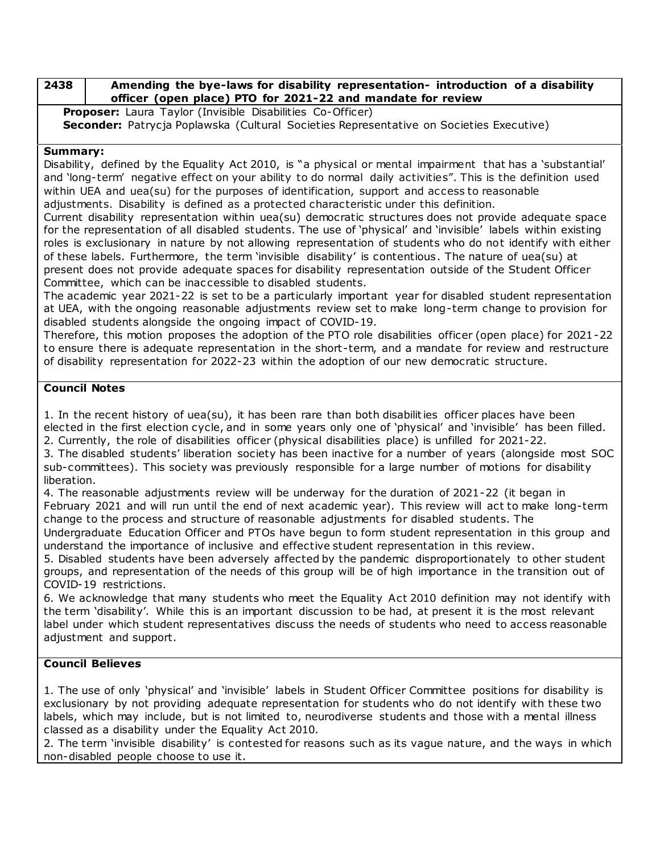#### **2438 Amending the bye-laws for disability representation- introduction of a disability officer (open place) PTO for 2021-22 and mandate for review**

**Proposer:** Laura Taylor (Invisible Disabilities Co-Officer) Seconder: Patrycja Poplawska (Cultural Societies Representative on Societies Executive)

### **Summary:**

Disability, defined by the Equality Act 2010, is "a physical or mental impairment that has a 'substantial' and 'long-term' negative effect on your ability to do normal daily activities". This is the definition used within UEA and uea(su) for the purposes of identification, support and access to reasonable adjustments. Disability is defined as a protected characteristic under this definition.

Current disability representation within uea(su) democratic structures does not provide adequate space for the representation of all disabled students. The use of 'physical' and 'invisible' labels within existing roles is exclusionary in nature by not allowing representation of students who do not identify with either of these labels. Furthermore, the term 'invisible disability' is contentious. The nature of uea(su) at present does not provide adequate spaces for disability representation outside of the Student Officer Committee, which can be inac cessible to disabled students.

The academic year 2021-22 is set to be a particularly important year for disabled student representation at UEA, with the ongoing reasonable adjustments review set to make long-term change to provision for disabled students alongside the ongoing impact of COVID-19.

Therefore, this motion proposes the adoption of the PTO role disabilities officer (open place) for 2021-22 to ensure there is adequate representation in the short-term, and a mandate for review and restructure of disability representation for 2022-23 within the adoption of our new democratic structure.

## **Council Notes**

1. In the recent history of uea(su), it has been rare than both disabilities officer places have been elected in the first election cycle, and in some years only one of 'physical' and 'invisible' has been filled. 2. Currently, the role of disabilities officer (physical disabilities place) is unfilled for 2021-22.

3. The disabled students' liberation society has been inactive for a number of years (alongside most SOC sub-committees). This society was previously responsible for a large number of motions for disability liberation.

4. The reasonable adjustments review will be underway for the duration of 2021-22 (it began in February 2021 and will run until the end of next academic year). This review will act to make long-term change to the process and structure of reasonable adjustments for disabled students. The

Undergraduate Education Officer and PTOs have begun to form student representation in this group and understand the importance of inclusive and effective student representation in this review.

5. Disabled students have been adversely affected by the pandemic disproportionately to other student groups, and representation of the needs of this group will be of high importance in the transition out of COVID-19 restrictions.

6. We acknowledge that many students who meet the Equality Act 2010 definition may not identify with the term 'disability'. While this is an important discussion to be had, at present it is the most relevant label under which student representatives discuss the needs of students who need to access reasonable adjustment and support.

# **Council Believes**

1. The use of only 'physical' and 'invisible' labels in Student Officer Committee positions for disability is exclusionary by not providing adequate representation for students who do not identify with these two labels, which may include, but is not limited to, neurodiverse students and those with a mental illness classed as a disability under the Equality Act 2010.

2. The term 'invisible disability' is contested for reasons such as its vague nature, and the ways in which non-disabled people choose to use it.